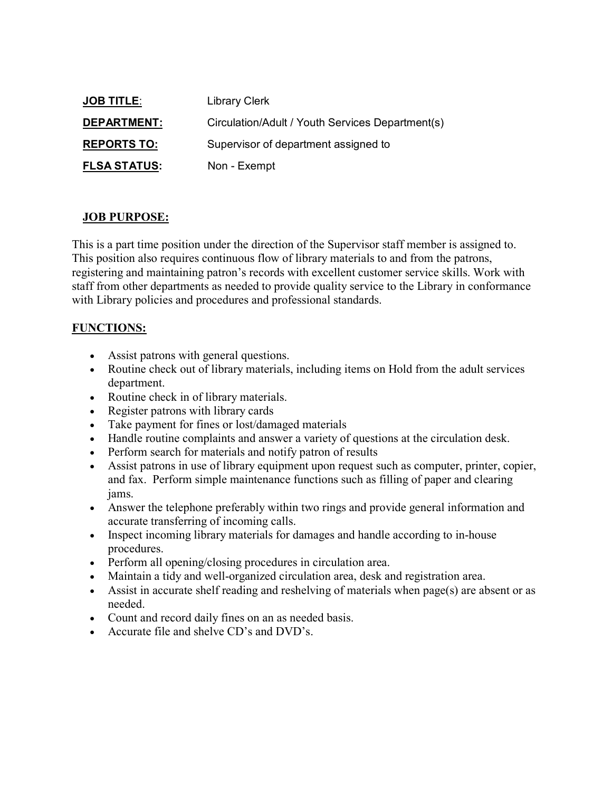| <b>JOB TITLE:</b>   | <b>Library Clerk</b>                             |
|---------------------|--------------------------------------------------|
| <b>DEPARTMENT:</b>  | Circulation/Adult / Youth Services Department(s) |
| <b>REPORTS TO:</b>  | Supervisor of department assigned to             |
| <b>FLSA STATUS:</b> | Non - Exempt                                     |

## **JOB PURPOSE:**

This is a part time position under the direction of the Supervisor staff member is assigned to. This position also requires continuous flow of library materials to and from the patrons, registering and maintaining patron's records with excellent customer service skills. Work with staff from other departments as needed to provide quality service to the Library in conformance with Library policies and procedures and professional standards.

## **FUNCTIONS:**

- Assist patrons with general questions.
- Routine check out of library materials, including items on Hold from the adult services department.
- Routine check in of library materials.
- Register patrons with library cards
- Take payment for fines or lost/damaged materials
- Handle routine complaints and answer a variety of questions at the circulation desk.
- Perform search for materials and notify patron of results
- Assist patrons in use of library equipment upon request such as computer, printer, copier, and fax. Perform simple maintenance functions such as filling of paper and clearing jams.
- Answer the telephone preferably within two rings and provide general information and accurate transferring of incoming calls.
- Inspect incoming library materials for damages and handle according to in-house procedures.
- Perform all opening/closing procedures in circulation area.
- Maintain a tidy and well-organized circulation area, desk and registration area.
- Assist in accurate shelf reading and reshelving of materials when page(s) are absent or as needed.
- Count and record daily fines on an as needed basis.
- Accurate file and shelve CD's and DVD's.